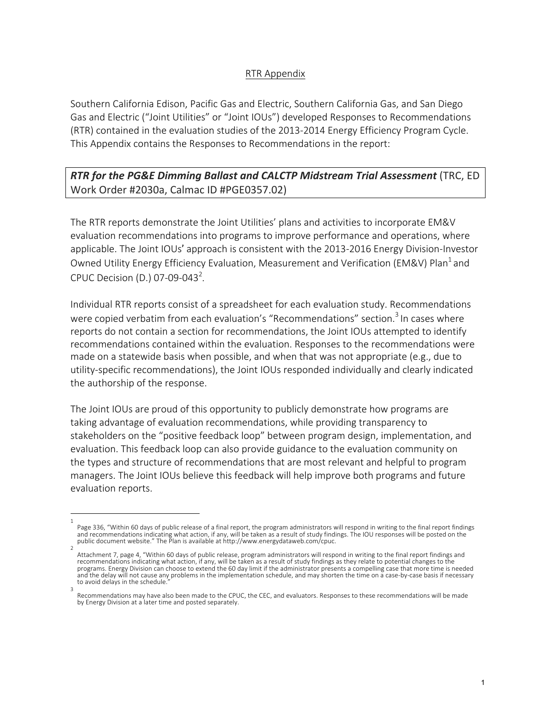## RTR Appendix

Southern California Edison, Pacific Gas and Electric, Southern California Gas, and San Diego Gas and Electric ("Joint Utilities" or "Joint IOUs") developed Responses to Recommendations (RTR) contained in the evaluation studies of the 2013-2014 Energy Efficiency Program Cycle. This Appendix contains the Responses to Recommendations in the report:

**RTR for the PG&E Dimming Ballast and CALCTP Midstream Trial Assessment** (TRC, ED Work Order #2030a, Calmac ID #PGE0357.02)

The RTR reports demonstrate the Joint Utilities' plans and activities to incorporate EM&V evaluation recommendations into programs to improve performance and operations, where applicable. The Joint IOUs' approach is consistent with the 2013-2016 Energy Division-Investor Owned Utility Energy Efficiency Evaluation, Measurement and Verification (EM&V) Plan<sup>1</sup> and CPUC Decision (D.) 07-09-043<sup>2</sup>.

Individual RTR reports consist of a spreadsheet for each evaluation study. Recommendations were copied verbatim from each evaluation's "Recommendations" section.<sup>3</sup> In cases where reports do not contain a section for recommendations, the Joint IOUs attempted to identify recommendations contained within the evaluation. Responses to the recommendations were made on a statewide basis when possible, and when that was not appropriate (e.g., due to utility-specific recommendations), the Joint IOUs responded individually and clearly indicated the authorship of the response.

The Joint IOUs are proud of this opportunity to publicly demonstrate how programs are taking advantage of evaluation recommendations, while providing transparency to stakeholders on the "positive feedback loop" between program design, implementation, and evaluation. This feedback loop can also provide guidance to the evaluation community on the types and structure of recommendations that are most relevant and helpful to program managers. The Joint IOUs believe this feedback will help improve both programs and future evaluation reports.

<sup>1</sup> Page 336, "Within 60 days of public release of a final report, the program administrators will respond in writing to the final report findings and recommendations indicating what action, if any, will be taken as a result of study findings. The IOU responses will be posted on the public document website." The Plan is available at http://www.energydataweb.com/cpuc.

<sup>2</sup> Attachment 7, page 4, "Within 60 days of public release, program administrators will respond in writing to the final report findings and<br>recommendations indicating what action, if any, will be taken as a result of study fi programs. Energy Division can choose to extend the 60 day limit if the administrator presents a compelling case that more time is needed and the delay will not cause any problems in the implementation schedule, and may shorten the time on a case-by-case basis if necessary to avoid delays in the schedule. 3

Recommendations may have also been made to the CPUC, the CEC, and evaluators. Responses to these recommendations will be made by Energy Division at a later time and posted separately.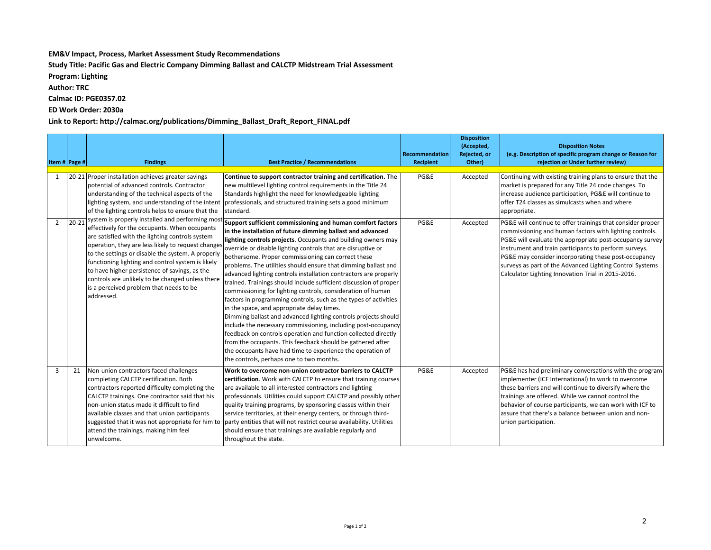## **EM&V** Impact, Process, Market Assessment Study Recommendations

Study Title: Pacific Gas and Electric Company Dimming Ballast and CALCTP Midstream Trial Assessment

**Program: Lighting**

**Author: TRC** 

**Calmac ID: PGE0357.02**

**ED Work Order: 2030a**

## Link to Report: http://calmac.org/publications/Dimming\_Ballast\_Draft\_Report\_FINAL.pdf

|                |           |                                                                                                                                                                                                                                                                                                                                                                                                                                                                                                                                                                                                                                                                                                                                                                                                                    |                                                                                                                                                                                                                                                                                                                                                                                                                                                                                                                                                                                                                                                                                                                                                                                                                                                                                                                                                                                                                            | Recommendation | <b>Disposition</b><br>(Accepted,<br>Rejected, or | <b>Disposition Notes</b><br>(e.g. Description of specific program change or Reason for                                                                                                                                                                                                                                                                                                                               |
|----------------|-----------|--------------------------------------------------------------------------------------------------------------------------------------------------------------------------------------------------------------------------------------------------------------------------------------------------------------------------------------------------------------------------------------------------------------------------------------------------------------------------------------------------------------------------------------------------------------------------------------------------------------------------------------------------------------------------------------------------------------------------------------------------------------------------------------------------------------------|----------------------------------------------------------------------------------------------------------------------------------------------------------------------------------------------------------------------------------------------------------------------------------------------------------------------------------------------------------------------------------------------------------------------------------------------------------------------------------------------------------------------------------------------------------------------------------------------------------------------------------------------------------------------------------------------------------------------------------------------------------------------------------------------------------------------------------------------------------------------------------------------------------------------------------------------------------------------------------------------------------------------------|----------------|--------------------------------------------------|----------------------------------------------------------------------------------------------------------------------------------------------------------------------------------------------------------------------------------------------------------------------------------------------------------------------------------------------------------------------------------------------------------------------|
| Item # Page #  |           | <b>Findings</b>                                                                                                                                                                                                                                                                                                                                                                                                                                                                                                                                                                                                                                                                                                                                                                                                    | <b>Best Practice / Recommendations</b>                                                                                                                                                                                                                                                                                                                                                                                                                                                                                                                                                                                                                                                                                                                                                                                                                                                                                                                                                                                     | Recipient      | Other)                                           | rejection or Under further review)                                                                                                                                                                                                                                                                                                                                                                                   |
| 1              |           | 20-21 Proper installation achieves greater savings<br>potential of advanced controls. Contractor<br>understanding of the technical aspects of the<br>lighting system, and understanding of the intent<br>of the lighting controls helps to ensure that the<br>system is properly installed and performing most <b>Support sufficient commissioning and human comfort factors</b><br>effectively for the occupants. When occupants<br>are satisfied with the lighting controls system<br>operation, they are less likely to request changes<br>to the settings or disable the system. A properly<br>functioning lighting and control system is likely<br>to have higher persistence of savings, as the<br>controls are unlikely to be changed unless there<br>is a perceived problem that needs to be<br>addressed. | Continue to support contractor training and certification. The<br>new multilevel lighting control requirements in the Title 24<br>Standards highlight the need for knowledgeable lighting<br>professionals, and structured training sets a good minimum<br>standard.                                                                                                                                                                                                                                                                                                                                                                                                                                                                                                                                                                                                                                                                                                                                                       | PG&E           | Accepted                                         | Continuing with existing training plans to ensure that the<br>market is prepared for any Title 24 code changes. To<br>increase audience participation, PG&E will continue to<br>offer T24 classes as simulcasts when and where<br>appropriate.                                                                                                                                                                       |
| $\overline{2}$ | $20 - 21$ |                                                                                                                                                                                                                                                                                                                                                                                                                                                                                                                                                                                                                                                                                                                                                                                                                    | in the installation of future dimming ballast and advanced<br>lighting controls projects. Occupants and building owners may<br>override or disable lighting controls that are disruptive or<br>bothersome. Proper commissioning can correct these<br>problems. The utilities should ensure that dimming ballast and<br>advanced lighting controls installation contractors are properly<br>trained. Trainings should include sufficient discussion of proper<br>commissioning for lighting controls, consideration of human<br>factors in programming controls, such as the types of activities<br>in the space, and appropriate delay times.<br>Dimming ballast and advanced lighting controls projects should<br>include the necessary commissioning, including post-occupancy<br>feedback on controls operation and function collected directly<br>from the occupants. This feedback should be gathered after<br>the occupants have had time to experience the operation of<br>the controls, perhaps one to two months. | PG&E           | Accepted                                         | PG&E will continue to offer trainings that consider proper<br>commissioning and human factors with lighting controls.<br>PG&E will evaluate the appropriate post-occupancy survey<br>instrument and train participants to perform surveys.<br>PG&E may consider incorporating these post-occupancy<br>surveys as part of the Advanced Lighting Control Systems<br>Calculator Lighting Innovation Trial in 2015-2016. |
| 3              | 21        | Non-union contractors faced challenges<br>completing CALCTP certification. Both<br>contractors reported difficulty completing the<br>CALCTP trainings. One contractor said that his<br>non-union status made it difficult to find<br>available classes and that union participants<br>suggested that it was not appropriate for him to<br>attend the trainings, making him feel<br>unwelcome.                                                                                                                                                                                                                                                                                                                                                                                                                      | Work to overcome non-union contractor barriers to CALCTP<br>certification. Work with CALCTP to ensure that training courses<br>are available to all interested contractors and lighting<br>professionals. Utilities could support CALCTP and possibly other<br>quality training programs, by sponsoring classes within their<br>service territories, at their energy centers, or through third-<br>party entities that will not restrict course availability. Utilities<br>should ensure that trainings are available regularly and<br>throughout the state.                                                                                                                                                                                                                                                                                                                                                                                                                                                               | PG&E           | Accepted                                         | PG&E has had preliminary conversations with the program<br>implementer (ICF International) to work to overcome<br>these barriers and will continue to diversify where the<br>trainings are offered. While we cannot control the<br>behavior of course participants, we can work with ICF to<br>lassure that there's a balance between union and non-<br>union participation.                                         |